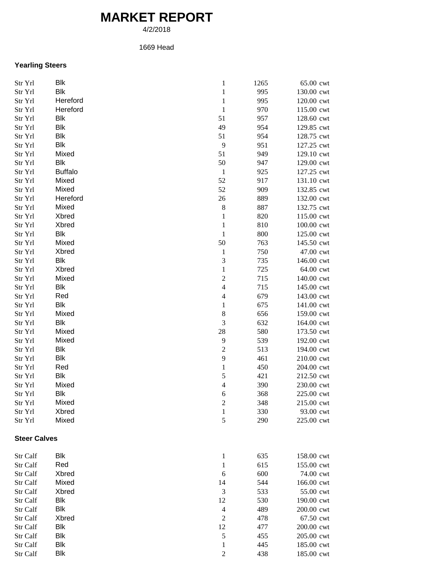## **MARKET REPORT**

4/2/2018

## 1669 Head

## **Yearling Steers**

| Str Yrl             | Blk            | $\,1$                    | 1265       | 65.00 cwt               |
|---------------------|----------------|--------------------------|------------|-------------------------|
| Str Yrl             | <b>Blk</b>     | $\mathbf 1$              | 995        | 130.00 cwt              |
| Str Yrl             | Hereford       | $\mathbf 1$              | 995        | 120.00 cwt              |
| Str Yrl             | Hereford       | $\,1\,$                  | 970        | 115.00 cwt              |
| Str Yrl             | Blk            | 51                       | 957        | 128.60 cwt              |
| Str Yrl             | Blk            | 49                       | 954        | 129.85 cwt              |
| Str Yrl             | Blk            | 51                       | 954        | 128.75 cwt              |
| Str Yrl             | Blk            | 9                        | 951        | 127.25 cwt              |
| Str Yrl             | Mixed          | 51                       | 949        | 129.10 cwt              |
| Str Yrl             | Blk            | 50                       | 947        | 129.00 cwt              |
| Str Yrl             | <b>Buffalo</b> | $\mathbf{1}$             | 925        | 127.25 cwt              |
| Str Yrl             | Mixed          | 52                       | 917        | 131.10 cwt              |
| Str Yrl             | Mixed          | 52                       | 909        | 132.85 cwt              |
| Str Yrl             | Hereford       | 26                       | 889        | 132.00 cwt              |
| Str Yrl             | Mixed          | $\,8\,$                  | 887        | 132.75 cwt              |
| Str Yrl             | Xbred          | $\mathbf{1}$             | 820        | 115.00 cwt              |
| Str Yrl             | Xbred          | $\mathbf 1$              | 810        | 100.00 cwt              |
| Str Yrl             | Blk            | $\mathbf 1$              | 800        | 125.00 cwt              |
|                     | Mixed          | 50                       |            |                         |
| Str Yrl             |                | $\mathbf{1}$             | 763<br>750 | 145.50 cwt<br>47.00 cwt |
| Str Yrl             | Xbred          |                          |            |                         |
| Str Yrl             | Blk            | 3                        | 735        | 146.00 cwt              |
| Str Yrl             | Xbred          | $\mathbf{1}$             | 725        | 64.00 cwt               |
| Str Yrl             | Mixed          | $\sqrt{2}$               | 715        | 140.00 cwt              |
| Str Yrl             | Blk            | $\overline{\mathcal{L}}$ | 715        | 145.00 cwt              |
| Str Yrl             | Red            | $\overline{4}$           | 679        | 143.00 cwt              |
| Str Yrl             | Blk            | $\mathbf{1}$             | 675        | 141.00 cwt              |
| Str Yrl             | Mixed          | $\,8\,$                  | 656        | 159.00 cwt              |
| Str Yrl             | Blk            | $\mathfrak{Z}$           | 632        | 164.00 cwt              |
| Str Yrl             | Mixed          | $28\,$                   | 580        | 173.50 cwt              |
| Str Yrl             | Mixed          | 9                        | 539        | 192.00 cwt              |
| Str Yrl             | Blk            | $\mathfrak{2}$           | 513        | 194.00 cwt              |
| Str Yrl             | Blk            | 9                        | 461        | 210.00 cwt              |
| Str Yrl             | Red            | $\,1$                    | 450        | 204.00 cwt              |
| Str Yrl             | Blk            | 5                        | 421        | 212.50 cwt              |
| Str Yrl             | Mixed          | $\overline{\mathcal{L}}$ | 390        | 230.00 cwt              |
| Str Yrl             | Blk            | 6                        | 368        | 225.00 cwt              |
| Str Yrl             | Mixed          | 2                        | 348        | 215.00 cwt              |
| Str Yrl             | Xbred          | $\mathbf{1}$             | 330        | 93.00 cwt               |
| Str Yrl             | Mixed          | 5                        | 290        | 225.00 cwt              |
| <b>Steer Calves</b> |                |                          |            |                         |
| Str Calf            | Blk            | $\mathbf{1}$             | 635        | 158.00 cwt              |
| Str Calf            | Red            | $\mathbf{1}$             | 615        | 155.00 cwt              |
| Str Calf            | Xbred          | 6                        | 600        | 74.00 cwt               |
| Str Calf            | Mixed          | 14                       | 544        | 166.00 cwt              |
| Str Calf            | Xbred          | $\mathfrak{Z}$           | 533        | 55.00 cwt               |
| Str Calf            | Blk            | 12                       | 530        | 190.00 cwt              |
| Str Calf            | Blk            | $\overline{4}$           | 489        | 200.00 cwt              |
| Str Calf            | Xbred          | $\sqrt{2}$               | 478        | 67.50 cwt               |
| Str Calf            | Blk            | 12                       | 477        | 200.00 cwt              |
| Str Calf            | <b>Blk</b>     | $\sqrt{5}$               | 455        | 205.00 cwt              |
| Str Calf            | <b>Blk</b>     | $\mathbf{1}$             | 445        | 185.00 cwt              |
| Str Calf            | <b>Blk</b>     | $\overline{c}$           | 438        | 185.00 cwt              |
|                     |                |                          |            |                         |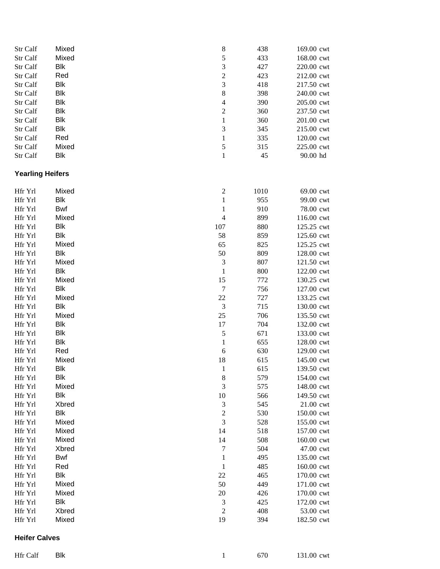| Str Calf                | Mixed      | 8                                                            | 438  | 169.00 cwt |
|-------------------------|------------|--------------------------------------------------------------|------|------------|
| Str Calf                | Mixed      | 5                                                            | 433  | 168.00 cwt |
| Str Calf                | <b>Blk</b> | 3                                                            | 427  | 220.00 cwt |
| Str Calf                | Red        | $\overline{c}$                                               | 423  | 212.00 cwt |
| Str Calf                | <b>Blk</b> | 3                                                            | 418  | 217.50 cwt |
| Str Calf                | <b>Blk</b> | $\,$ 8 $\,$                                                  | 398  | 240.00 cwt |
|                         |            |                                                              |      |            |
| Str Calf                | <b>Blk</b> | $\overline{4}$                                               | 390  | 205.00 cwt |
| Str Calf                | <b>Blk</b> | $\overline{c}$                                               | 360  | 237.50 cwt |
| Str Calf                | <b>Blk</b> | $\,1$                                                        | 360  | 201.00 cwt |
| Str Calf                | <b>Blk</b> | 3                                                            | 345  | 215.00 cwt |
| Str Calf                | Red        | $\,1$                                                        | 335  | 120.00 cwt |
| Str Calf                | Mixed      | 5                                                            | 315  | 225.00 cwt |
| Str Calf                | <b>Blk</b> | $\mathbf{1}$                                                 | 45   | 90.00 hd   |
| <b>Yearling Heifers</b> |            |                                                              |      |            |
|                         |            |                                                              |      |            |
| Hfr Yrl                 | Mixed      | $\overline{c}$                                               | 1010 | 69.00 cwt  |
| Hfr Yrl                 | <b>Blk</b> | $\mathbf{1}$                                                 | 955  | 99.00 cwt  |
| Hfr Yrl                 | Bwf        | $\mathbf{1}$                                                 | 910  | 78.00 cwt  |
| Hfr Yrl                 | Mixed      | $\overline{4}$                                               | 899  | 116.00 cwt |
| Hfr Yrl                 | <b>Blk</b> | 107                                                          | 880  | 125.25 cwt |
| Hfr Yrl                 | <b>Blk</b> | 58                                                           | 859  | 125.60 cwt |
| Hfr Yrl                 | Mixed      | 65                                                           | 825  | 125.25 cwt |
| Hfr Yrl                 | <b>Blk</b> | 50                                                           | 809  | 128.00 cwt |
| Hfr Yrl                 | Mixed      | $\sqrt{3}$                                                   | 807  | 121.50 cwt |
| Hfr Yrl                 | <b>Blk</b> | $\mathbf{1}$                                                 | 800  | 122.00 cwt |
| Hfr Yrl                 | Mixed      | 15                                                           | 772  | 130.25 cwt |
| Hfr Yrl                 | <b>Blk</b> | $\sqrt{ }$                                                   | 756  | 127.00 cwt |
| Hfr Yrl                 | Mixed      | 22                                                           | 727  | 133.25 cwt |
| Hfr Yrl                 | <b>Blk</b> | $\mathfrak 3$                                                | 715  | 130.00 cwt |
| Hfr Yrl                 | Mixed      | 25                                                           |      |            |
|                         |            |                                                              | 706  | 135.50 cwt |
| Hfr Yrl                 | <b>Blk</b> | 17                                                           | 704  | 132.00 cwt |
| Hfr Yrl                 | <b>Blk</b> | 5                                                            | 671  | 133.00 cwt |
| Hfr Yrl                 | Blk        | $\mathbf{1}$                                                 | 655  | 128.00 cwt |
| Hfr Yrl                 | Red        | $\boldsymbol{6}$                                             | 630  | 129.00 cwt |
| Hfr Yrl                 | Mixed      | 18                                                           | 615  | 145.00 cwt |
| Hfr Yrl                 | Blk        | $\mathbf{1}$                                                 | 615  | 139.50 cwt |
| Hfr Yrl                 | <b>Blk</b> | $\,$ 8 $\,$                                                  | 579  | 154.00 cwt |
| Hfr Yrl                 | Mixed      | 3                                                            | 575  | 148.00 cwt |
| Hfr Yrl                 | <b>Blk</b> | 10                                                           | 566  | 149.50 cwt |
| Hfr Yrl                 | Xbred      | $\mathfrak 3$                                                | 545  | 21.00 cwt  |
| Hfr Yrl                 | <b>Blk</b> | $\sqrt{2}$                                                   | 530  | 150.00 cwt |
| Hfr Yrl                 | Mixed      | 3                                                            | 528  | 155.00 cwt |
| Hfr Yrl                 | Mixed      | 14                                                           | 518  | 157.00 cwt |
| Hfr Yrl                 | Mixed      | 14                                                           | 508  | 160.00 cwt |
| Hfr Yrl                 | Xbred      | $\boldsymbol{7}$                                             | 504  | 47.00 cwt  |
| Hfr Yrl                 | <b>Bwf</b> | $\mathbf{1}$                                                 | 495  |            |
|                         |            |                                                              |      | 135.00 cwt |
| Hfr Yrl                 | Red        | $\mathbf{1}$                                                 | 485  | 160.00 cwt |
| Hfr Yrl                 | <b>Blk</b> | 22                                                           | 465  | 170.00 cwt |
| Hfr Yrl                 | Mixed      | 50                                                           | 449  | 171.00 cwt |
| Hfr Yrl                 | Mixed      | 20                                                           | 426  | 170.00 cwt |
| Hfr Yrl                 | Blk        | $\mathfrak 3$                                                | 425  | 172.00 cwt |
| Hfr Yrl                 | Xbred      | $\mathfrak{2}% =\mathfrak{2}\left( \mathfrak{2}\right) ^{2}$ | 408  | 53.00 cwt  |
| Hfr Yrl                 | Mixed      | 19                                                           | 394  | 182.50 cwt |
| <b>Heifer Calves</b>    |            |                                                              |      |            |

1 670 131.00 cwt

Hfr Calf Blk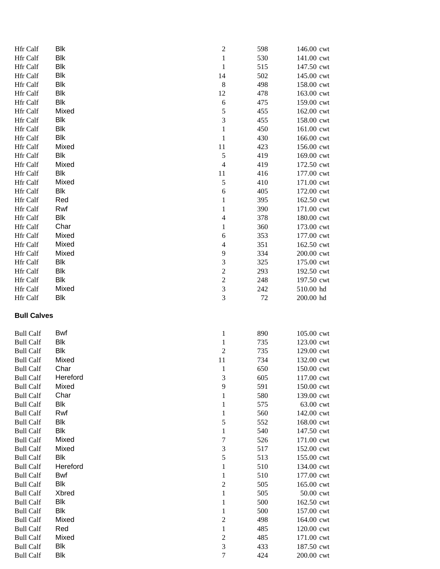| Hfr Calf           | <b>Blk</b> | $\sqrt{2}$       | 598 | 146.00 cwt |
|--------------------|------------|------------------|-----|------------|
| Hfr Calf           | <b>Blk</b> | $\mathbf{1}$     | 530 | 141.00 cwt |
| Hfr Calf           | <b>Blk</b> | $\mathbf{1}$     | 515 | 147.50 cwt |
| Hfr Calf           | Blk        | 14               | 502 | 145.00 cwt |
| Hfr Calf           | <b>Blk</b> | $\,8\,$          | 498 | 158.00 cwt |
| Hfr Calf           | Blk        | 12               | 478 | 163.00 cwt |
| Hfr Calf           | Blk        | $\sqrt{6}$       | 475 | 159.00 cwt |
| Hfr Calf           | Mixed      | 5                | 455 | 162.00 cwt |
| Hfr Calf           | Blk        | 3                | 455 | 158.00 cwt |
| Hfr Calf           | Blk        | $\mathbf{1}$     | 450 | 161.00 cwt |
| Hfr Calf           | Blk        | $\mathbf{1}$     | 430 | 166.00 cwt |
| Hfr Calf           | Mixed      | 11               | 423 | 156.00 cwt |
| Hfr Calf           | Blk        | 5                | 419 | 169.00 cwt |
| Hfr Calf           | Mixed      | $\overline{4}$   | 419 | 172.50 cwt |
| Hfr Calf           | Blk        | 11               | 416 | 177.00 cwt |
| Hfr Calf           | Mixed      | 5                | 410 | 171.00 cwt |
| Hfr Calf           | Blk        | $\boldsymbol{6}$ | 405 | 172.00 cwt |
| Hfr Calf           | Red        | $\mathbf{1}$     | 395 | 162.50 cwt |
| Hfr Calf           | Rwf        | $\mathbf{1}$     | 390 | 171.00 cwt |
| Hfr Calf           | Blk        | $\overline{4}$   | 378 | 180.00 cwt |
| <b>Hfr Calf</b>    | Char       | 1                | 360 | 173.00 cwt |
| Hfr Calf           | Mixed      | 6                | 353 | 177.00 cwt |
| Hfr Calf           | Mixed      | 4                | 351 | 162.50 cwt |
| Hfr Calf           | Mixed      | 9                | 334 | 200.00 cwt |
| Hfr Calf           | Blk        | 3                | 325 | 175.00 cwt |
| Hfr Calf           | Blk        | $\overline{c}$   | 293 | 192.50 cwt |
| Hfr Calf           | Blk        | $\sqrt{2}$       | 248 | 197.50 cwt |
| Hfr Calf           | Mixed      | 3                | 242 | 510.00 hd  |
| <b>Hfr Calf</b>    | Blk        | 3                | 72  | 200.00 hd  |
| <b>Bull Calves</b> |            |                  |     |            |
| <b>Bull Calf</b>   | Bwf        | $\mathbf{1}$     | 890 | 105.00 cwt |
| <b>Bull Calf</b>   | Blk        | $\mathbf{1}$     | 735 | 123.00 cwt |
| <b>Bull Calf</b>   | <b>Blk</b> | $\sqrt{2}$       | 735 | 129.00 cwt |
| <b>Bull Calf</b>   | Mixed      | 11               | 734 | 132.00 cwt |
| <b>Bull Calf</b>   | Char       | 1                | 650 | 150.00 cwt |
| <b>Bull Calf</b>   | Hereford   | $\mathfrak{Z}$   | 605 | 117.00 cwt |
| <b>Bull Calf</b>   | Mixed      | $\overline{9}$   | 591 | 150.00 cwt |
| <b>Bull Calf</b>   | Char       | $\mathbf{1}$     | 580 | 139.00 cwt |
| <b>Bull Calf</b>   | Blk        | 1                | 575 | 63.00 cwt  |
| <b>Bull Calf</b>   | Rwf        | $\mathbf{1}$     | 560 | 142.00 cwt |
| <b>Bull Calf</b>   | Blk        | 5                | 552 | 168.00 cwt |
| <b>Bull Calf</b>   | Blk        | $\mathbf{1}$     | 540 | 147.50 cwt |
| <b>Bull Calf</b>   | Mixed      | 7                | 526 | 171.00 cwt |
| <b>Bull Calf</b>   | Mixed      | $\mathfrak{Z}$   | 517 | 152.00 cwt |
| <b>Bull Calf</b>   | Blk        | 5                | 513 | 155.00 cwt |
| <b>Bull Calf</b>   | Hereford   | 1                | 510 | 134.00 cwt |
| <b>Bull Calf</b>   | Bwf        | $\mathbf{1}$     | 510 | 177.00 cwt |
| <b>Bull Calf</b>   | Blk        | $\overline{c}$   | 505 | 165.00 cwt |
| <b>Bull Calf</b>   | Xbred      | 1                | 505 | 50.00 cwt  |
| <b>Bull Calf</b>   | Blk        | $\mathbf{1}$     | 500 | 162.50 cwt |
| <b>Bull Calf</b>   | <b>Blk</b> | 1                | 500 | 157.00 cwt |
| <b>Bull Calf</b>   | Mixed      | $\boldsymbol{2}$ | 498 | 164.00 cwt |
| <b>Bull Calf</b>   | Red        | 1                | 485 | 120.00 cwt |
| <b>Bull Calf</b>   | Mixed      | $\boldsymbol{2}$ | 485 | 171.00 cwt |
| <b>Bull Calf</b>   | Blk        | 3                | 433 | 187.50 cwt |
| <b>Bull Calf</b>   | Blk        | $\boldsymbol{7}$ | 424 | 200.00 cwt |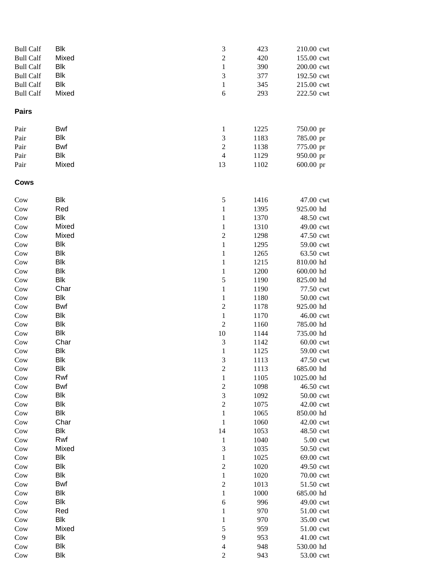| <b>Bull Calf</b> | Blk         | $\mathfrak{Z}$              | 423          | 210.00 cwt             |
|------------------|-------------|-----------------------------|--------------|------------------------|
| <b>Bull Calf</b> | Mixed       | $\sqrt{2}$                  | 420          | 155.00 cwt             |
| <b>Bull Calf</b> | Blk         | $\mathbf{1}$                | 390          | 200.00 cwt             |
| <b>Bull Calf</b> | Blk         | $\ensuremath{\mathfrak{Z}}$ | 377          | 192.50 cwt             |
| <b>Bull Calf</b> | <b>Blk</b>  | $\mathbf{1}$                | 345          | 215.00 cwt             |
| <b>Bull Calf</b> | Mixed       | $\sqrt{6}$                  | 293          | 222.50 cwt             |
| <b>Pairs</b>     |             |                             |              |                        |
| Pair             | Bwf         | $\mathbf{1}$                | 1225         | 750.00 pr              |
| Pair             | <b>Blk</b>  | $\mathfrak 3$               | 1183         | 785.00 pr              |
| Pair             | Bwf         | $\sqrt{2}$                  | 1138         | 775.00 pr              |
| Pair             | Blk         | $\overline{4}$              | 1129         | 950.00 pr              |
| Pair             | Mixed       | 13                          | 1102         | 600.00 pr              |
| <b>Cows</b>      |             |                             |              |                        |
| Cow              | Blk         | $\mathfrak s$               | 1416         | 47.00 cwt              |
| Cow              | Red         | $\mathbf{1}$                | 1395         | 925.00 hd              |
| Cow              | Blk         | $\mathbf{1}$                | 1370         | 48.50 cwt              |
| Cow              | Mixed       | $\mathbf{1}$                | 1310         | 49.00 cwt              |
| Cow              | Mixed       | $\boldsymbol{2}$            | 1298         | 47.50 cwt              |
| Cow              | Blk         | $\,1$                       | 1295         | 59.00 cwt              |
| Cow              | <b>Blk</b>  | $\mathbf 1$                 | 1265         | 63.50 cwt              |
| Cow              | Blk         | $\mathbf{1}$                | 1215         | 810.00 hd              |
| Cow              | Blk         | $\,1$                       | 1200         | 600.00 hd              |
| Cow              | Blk         | $\mathfrak s$               | 1190         | 825.00 hd              |
| Cow              | Char<br>Blk | $\,1$<br>$\,1$              | 1190<br>1180 | 77.50 cwt<br>50.00 cwt |
| Cow<br>Cow       | Bwf         | $\sqrt{2}$                  | 1178         | 925.00 hd              |
| Cow              | <b>Blk</b>  | $\mathbf{1}$                | 1170         | 46.00 cwt              |
| Cow              | <b>Blk</b>  | $\sqrt{2}$                  | 1160         | 785.00 hd              |
| Cow              | <b>Blk</b>  | 10                          | 1144         | 735.00 hd              |
| Cow              | Char        | $\ensuremath{\mathfrak{Z}}$ | 1142         | 60.00 cwt              |
| Cow              | Blk         | $\mathbf{1}$                | 1125         | 59.00 cwt              |
| Cow              | Blk         | $\mathfrak{Z}$              | 1113         | 47.50 cwt              |
| Cow              | Blk         | $\sqrt{2}$                  | 1113         | 685.00 hd              |
| Cow              | Rwf         | $\mathbf{1}$                | 1105         | 1025.00 hd             |
| Cow              | Bwf         | $\sqrt{2}$                  | 1098         | 46.50 cwt              |
| Cow              | Blk         | $\mathfrak{Z}$              | 1092         | 50.00 cwt              |
| Cow              | Blk         | $\sqrt{2}$                  | 1075         | 42.00 cwt              |
| Cow              | Blk         | $\mathbf{1}$                | 1065         | 850.00 hd              |
| Cow              | Char        | $\mathbf{1}$                | 1060         | 42.00 cwt              |
| Cow              | Blk         | 14                          | 1053         | 48.50 cwt              |
| Cow              | Rwf         | $\mathbf{1}$                | 1040         | 5.00 cwt               |
| Cow              | Mixed       | $\mathfrak 3$               | 1035         | 50.50 cwt              |
| Cow              | Blk         | $\mathbf{1}$                | 1025         | 69.00 cwt              |
| Cow              | <b>Blk</b>  | $\sqrt{2}$                  | 1020         | 49.50 cwt              |
| Cow              | <b>Blk</b>  | $\mathbf{1}$                | 1020         | 70.00 cwt              |
| Cow              | Bwf         | $\boldsymbol{2}$            | 1013         | 51.50 cwt              |
| Cow              | Blk         | 1                           | 1000         | 685.00 hd              |
| Cow              | Blk         | $\sqrt{6}$                  | 996          | 49.00 cwt              |
| Cow              | Red         | $\mathbf{1}$                | 970          | 51.00 cwt              |
| Cow              | Blk         | $\mathbf{1}$                | 970          | 35.00 cwt              |
| Cow              | Mixed       | $\mathfrak s$               | 959          | 51.00 cwt              |
| Cow              | Blk         | 9                           | 953          | 41.00 cwt              |
| Cow              | Blk         | $\overline{4}$              | 948          | 530.00 hd              |
| Cow              | <b>Blk</b>  | $\sqrt{2}$                  | 943          | 53.00 cwt              |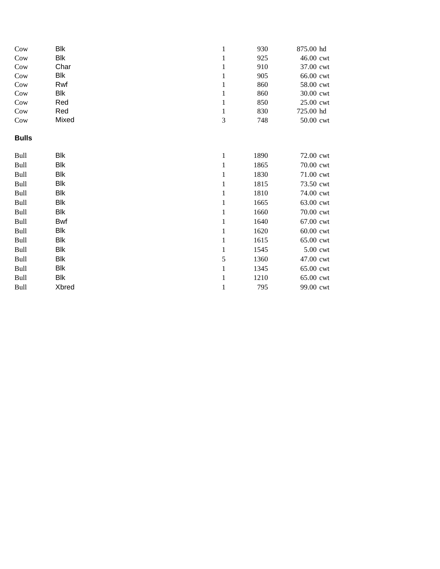| Cow          | Blk   | 1            | 930  | 875.00 hd |
|--------------|-------|--------------|------|-----------|
| Cow          | Blk   | 1            | 925  | 46.00 cwt |
| Cow          | Char  | 1            | 910  | 37.00 cwt |
| Cow          | Blk   | 1            | 905  | 66.00 cwt |
| Cow          | Rwf   | $\mathbf{1}$ | 860  | 58.00 cwt |
| Cow          | Blk   | $\mathbf{1}$ | 860  | 30.00 cwt |
| Cow          | Red   | 1            | 850  | 25.00 cwt |
| Cow          | Red   | $\mathbf{1}$ | 830  | 725.00 hd |
| Cow          | Mixed | 3            | 748  | 50.00 cwt |
| <b>Bulls</b> |       |              |      |           |
| Bull         | Blk   | $\mathbf{1}$ | 1890 | 72.00 cwt |
| Bull         | Blk   | $\mathbf{1}$ | 1865 | 70.00 cwt |
| Bull         | Blk   | 1            | 1830 | 71.00 cwt |
| Bull         | Blk   | $\mathbf{1}$ | 1815 | 73.50 cwt |
| Bull         | Blk   | $\mathbf{1}$ | 1810 | 74.00 cwt |
| Bull         | Blk   | $\mathbf{1}$ | 1665 | 63.00 cwt |
| Bull         | Blk   | $\mathbf{1}$ | 1660 | 70.00 cwt |
| Bull         | Bwf   | $\mathbf{1}$ | 1640 | 67.00 cwt |
| Bull         | Blk   | 1            | 1620 | 60.00 cwt |
| Bull         | Blk   | $\mathbf{1}$ | 1615 | 65.00 cwt |
| Bull         | Blk   | $\mathbf{1}$ | 1545 | 5.00 cwt  |
| Bull         | Blk   | 5            | 1360 | 47.00 cwt |
| Bull         | Blk   | 1            | 1345 | 65.00 cwt |
| Bull         | Blk   | $\mathbf{1}$ | 1210 | 65.00 cwt |
| Bull         | Xbred | 1            | 795  | 99.00 cwt |